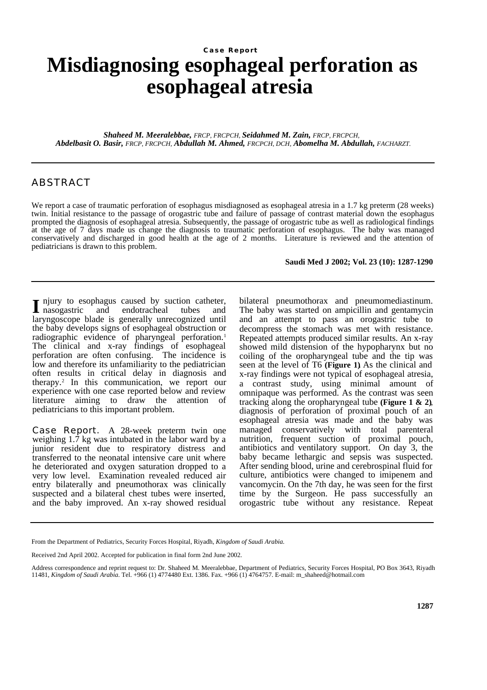## **Misdiagnosing esophageal perforation as esophageal atresia Case Report**

*Shaheed M. Meeralebbae, FRCP, FRCPCH, Seidahmed M. Zain, FRCP, FRCPCH, Abdelbasit O. Basir, FRCP, FRCPCH, Abdullah M. Ahmed, FRCPCH, DCH, Abomelha M. Abdullah, FACHARZT.*

## ABSTRACT

We report a case of traumatic perforation of esophagus misdiagnosed as esophageal atresia in a 1.7 kg preterm (28 weeks) twin. Initial resistance to the passage of orogastric tube and failure of passage of contrast material down the esophagus prompted the diagnosis of esophageal atresia. Subsequently, the passage of orogastric tube as well as radiological findings at the age of 7 days made us change the diagnosis to traumatic perforation of esophagus. The baby was managed conservatively and discharged in good health at the age of 2 months. Literature is reviewed and the attention of pediatricians is drawn to this problem.

## **Saudi Med J 2002; Vol. 23 (10): 1287-1290**

njury to esophagus caused by suction catheter, I njury to esophagus caused by suction catheter,<br>and endotracheal tubes and laryngoscope blade is generally unrecognized until the baby develops signs of esophageal obstruction or radiographic evidence of pharyngeal perforation.<sup>1</sup> The clinical and x-ray findings of esophageal perforation are often confusing. The incidence is low and therefore its unfamiliarity to the pediatrician often results in critical delay in diagnosis and therapy.<sup>2</sup> In this communication, we report our experience with one case reported below and review literature aiming to draw the attention of pediatricians to this important problem.

**Case Report.** A 28-week preterm twin one weighing 1.7 kg was intubated in the labor ward by a junior resident due to respiratory distress and transferred to the neonatal intensive care unit where he deteriorated and oxygen saturation dropped to a very low level. Examination revealed reduced air entry bilaterally and pneumothorax was clinically suspected and a bilateral chest tubes were inserted, and the baby improved. An x-ray showed residual bilateral pneumothorax and pneumomediastinum. The baby was started on ampicillin and gentamycin and an attempt to pass an orogastric tube to decompress the stomach was met with resistance. Repeated attempts produced similar results. An x-ray showed mild distension of the hypopharynx but no coiling of the oropharyngeal tube and the tip was seen at the level of T6 **(Figure 1)**. As the clinical and x-ray findings were not typical of esophageal atresia, a contrast study, using minimal amount of omnipaque was performed. As the contrast was seen tracking along the oropharyngeal tube **(Figure 1 & 2)**, diagnosis of perforation of proximal pouch of an esophageal atresia was made and the baby was managed conservatively with total parenteral nutrition, frequent suction of proximal pouch, antibiotics and ventilatory support. On day 3, the baby became lethargic and sepsis was suspected. After sending blood, urine and cerebrospinal fluid for culture, antibiotics were changed to imipenem and vancomycin. On the 7th day, he was seen for the first time by the Surgeon. He pass successfully an orogastric tube without any resistance. Repeat

From the Department of Pediatrics, Security Forces Hospital, Riyadh, *Kingdom of Saudi Arabia.*

Received 2nd April 2002. Accepted for publication in final form 2nd June 2002.

Address correspondence and reprint request to: Dr. Shaheed M. Meeralebbae, Department of Pediatrics, Security Forces Hospital, PO Box 3643, Riyadh 11481, *Kingdom of Saudi Arabia*. Tel. +966 (1) 4774480 Ext. 1386. Fax. +966 (1) 4764757. E-mail: m\_shaheed@hotmail.com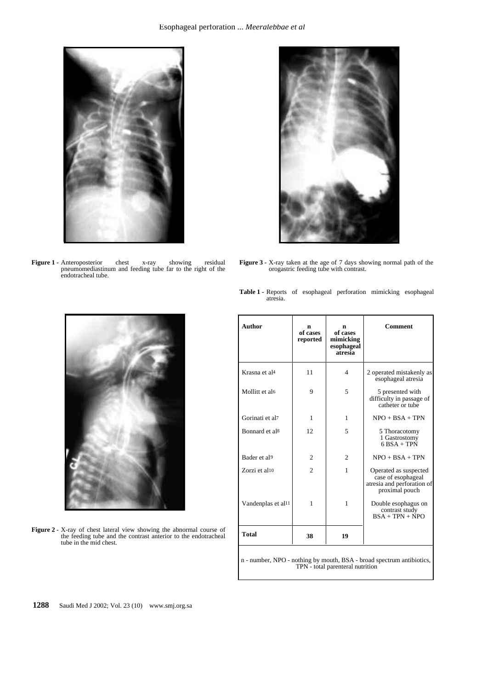

**Figure 1 -** Anteroposterior chest x-ray showing residual pneumomediastinum and feeding tube far to the right of the endotracheal tube.



**Figure 3 -** X-ray taken at the age of 7 days showing normal path of the orogastric feeding tube with contrast.

**Table 1 -** Reports of esophageal perforation mimicking esophageal atresia.



**Figure 2 -** X-ray of chest lateral view showing the abnormal course of the feeding tube and the contrast anterior to the endotracheal tube in the mid chest.

| <b>Author</b>                  | n<br>of cases<br>reported | n<br>of cases<br>mimicking<br>esophageal<br>atresia | <b>Comment</b>                                                                              |
|--------------------------------|---------------------------|-----------------------------------------------------|---------------------------------------------------------------------------------------------|
| Krasna et al <sup>4</sup>      | 11                        | 4                                                   | 2 operated mistakenly as<br>esophageal atresia                                              |
| Mollitt et al6                 | 9                         | 5                                                   | 5 presented with<br>difficulty in passage of<br>catheter or tube                            |
| Gorinati et al7                | 1                         | 1                                                   | $NPO + BSA + TPN$                                                                           |
| Bonnard et al8                 | 12                        | 5                                                   | 5 Thoracotomy<br>1 Gastrostomy<br>$6$ BSA + TPN                                             |
| Bader et al9                   | $\overline{c}$            | $\overline{c}$                                      | $NPO + BSA + TPN$                                                                           |
| Zorzi et al10                  | $\overline{c}$            | 1                                                   | Operated as suspected<br>case of esophageal<br>atresia and perforation of<br>proximal pouch |
| Vandenplas et al <sup>11</sup> | 1                         | 1                                                   | Double esophagus on<br>contrast study<br>$BSA + TPN + NPO$                                  |
| <b>Total</b>                   | 38                        | 19                                                  |                                                                                             |
|                                |                           |                                                     |                                                                                             |

n - number, NPO - nothing by mouth, BSA - broad spectrum antibiotics, TPN - total parenteral nutrition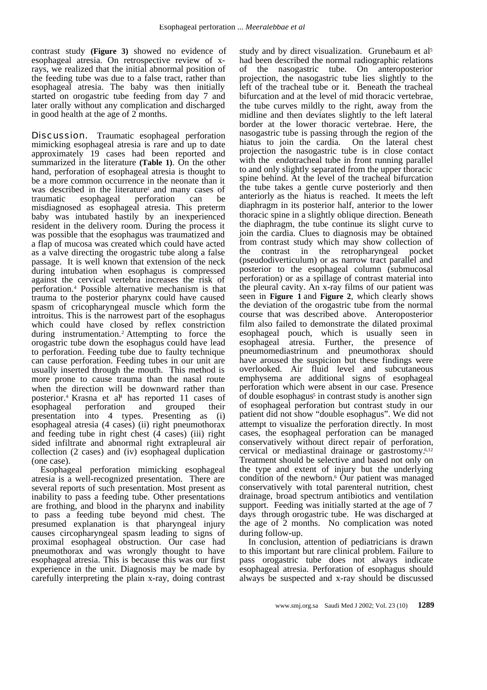contrast study **(Figure 3)** showed no evidence of esophageal atresia. On retrospective review of xrays, we realized that the initial abnormal position of the feeding tube was due to a false tract, rather than esophageal atresia. The baby was then initially started on orogastric tube feeding from day 7 and later orally without any complication and discharged in good health at the age of 2 months.

**Discussion.** Traumatic esophageal perforation mimicking esophageal atresia is rare and up to date approximately 19 cases had been reported and summarized in the literature **(Table 1)**. On the other hand, perforation of esophageal atresia is thought to be a more common occurrence in the neonate than it was described in the literature<sup>3</sup> and many cases of traumatic esophageal perforation can be misdiagnosed as esophageal atresia. This preterm baby was intubated hastily by an inexperienced resident in the delivery room. During the process it was possible that the esophagus was traumatized and a flap of mucosa was created which could have acted as a valve directing the orogastric tube along a false passage. It is well known that extension of the neck during intubation when esophagus is compressed against the cervical vertebra increases the risk of perforation.<sup>4</sup> Possible alternative mechanism is that trauma to the posterior pharynx could have caused spasm of cricopharyngeal muscle which form the introitus. This is the narrowest part of the esophagus which could have closed by reflex constriction during instrumentation.2 Attempting to force the orogastric tube down the esophagus could have lead to perforation. Feeding tube due to faulty technique can cause perforation. Feeding tubes in our unit are usually inserted through the mouth. This method is more prone to cause trauma than the nasal route when the direction will be downward rather than posterior.<sup>4</sup> Krasna et al<sup>4</sup> has reported 11 cases of esophageal perforation and grouped their presentation into 4 types. Presenting as (i) esophageal atresia (4 cases) (ii) right pneumothorax and feeding tube in right chest (4 cases) (iii) right sided infiltrate and abnormal right extrapleural air collection (2 cases) and (iv) esophageal duplication (one case).

Esophageal perforation mimicking esophageal atresia is a well-recognized presentation. There are several reports of such presentation. Most present as inability to pass a feeding tube. Other presentations are frothing, and blood in the pharynx and inability to pass a feeding tube beyond mid chest. The presumed explanation is that pharyngeal injury causes circopharyngeal spasm leading to signs of proximal esophageal obstruction. Our case had pneumothorax and was wrongly thought to have esophageal atresia. This is because this was our first experience in the unit. Diagnosis may be made by carefully interpreting the plain x-ray, doing contrast study and by direct visualization. Grunebaum et al<sup>5</sup> had been described the normal radiographic relations of the nasogastric tube. On anteroposterior projection, the nasogastric tube lies slightly to the left of the tracheal tube or it. Beneath the tracheal bifurcation and at the level of mid thoracic vertebrae, the tube curves mildly to the right, away from the midline and then deviates slightly to the left lateral border at the lower thoracic vertebrae. Here, the nasogastric tube is passing through the region of the hiatus to join the cardia. On the lateral chest projection the nasogastric tube is in close contact with the endotracheal tube in front running parallel to and only slightly separated from the upper thoracic spine behind. At the level of the tracheal bifurcation the tube takes a gentle curve posteriorly and then anteriorly as the hiatus is reached. It meets the left diaphragm in its posterior half, anterior to the lower thoracic spine in a slightly oblique direction. Beneath the diaphragm, the tube continue its slight curve to join the cardia. Clues to diagnosis may be obtained from contrast study which may show collection of<br>the contrast in the retropharyngeal pocket the contrast in the retropharyngeal (pseudodiverticulum) or as narrow tract parallel and posterior to the esophageal column (submucosal perforation) or as a spillage of contrast material into the pleural cavity. An x-ray films of our patient was seen in **Figure 1** and **Figure 2**, which clearly shows the deviation of the orogastric tube from the normal course that was described above. Anteroposterior film also failed to demonstrate the dilated proximal esophageal pouch, which is usually seen in esophageal atresia. Further, the presence of pneumomediastrinum and pneumothorax should have aroused the suspicion but these findings were overlooked. Air fluid level and subcutaneous emphysema are additional signs of esophageal perforation which were absent in our case. Presence of double esophagus<sup>5</sup> in contrast study is another sign of esophageal perforation but contrast study in our patient did not show "double esophagus". We did not attempt to visualize the perforation directly. In most cases, the esophageal perforation can be managed conservatively without direct repair of perforation, cervical or mediastinal drainage or gastrostomy.6,12 Treatment should be selective and based not only on the type and extent of injury but the underlying condition of the newborn.<sup>6</sup> Our patient was managed conservatively with total parenteral nutrition, chest drainage, broad spectrum antibiotics and ventilation support. Feeding was initially started at the age of 7 days through orogastric tube. He was discharged at the age of 2 months. No complication was noted during follow-up.

In conclusion, attention of pediatricians is drawn to this important but rare clinical problem. Failure to pass orogastric tube does not always indicate esophageal atresia. Perforation of esophagus should always be suspected and x-ray should be discussed